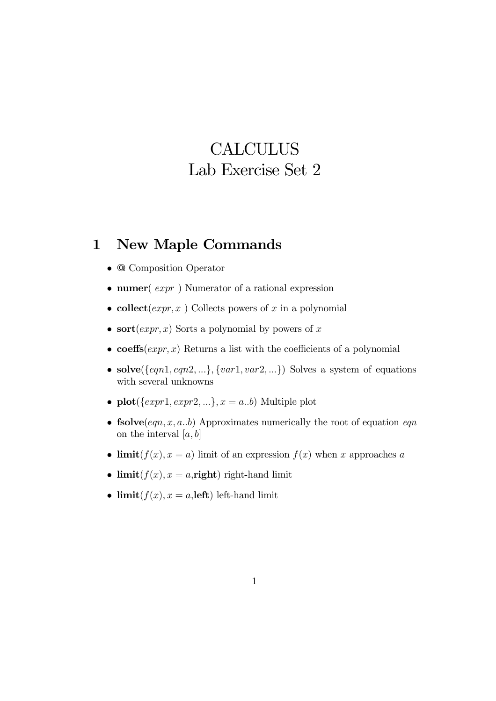## **CALCULUS** Lab Exercise Set 2

## 1 New Maple Commands

- @ Composition Operator
- numer( $expr$ ) Numerator of a rational expression
- collect (*expr*, x) Collects powers of x in a polynomial
- sort $(exp, x)$  Sorts a polynomial by powers of x
- coeffs( $expr, x$ ) Returns a list with the coefficients of a polynomial
- solve( $\{eqn1, eqn2, ...\}$ ,  $\{var1, var2, ...\}$ ) Solves a system of equations with several unknowns
- plot( $\{expr1, expr2, ...\}$ ,  $x = a..b$ ) Multiple plot
- fsolve $(eqn, x, a..b)$  Approximates numerically the root of equation  $eqn$ on the interval  $[a, b]$
- limit( $f(x)$ ,  $x = a$ ) limit of an expression  $f(x)$  when x approaches a
- limit $(f(x), x = a$ , right) right-hand limit
- limit $(f(x), x = a$ , left) left-hand limit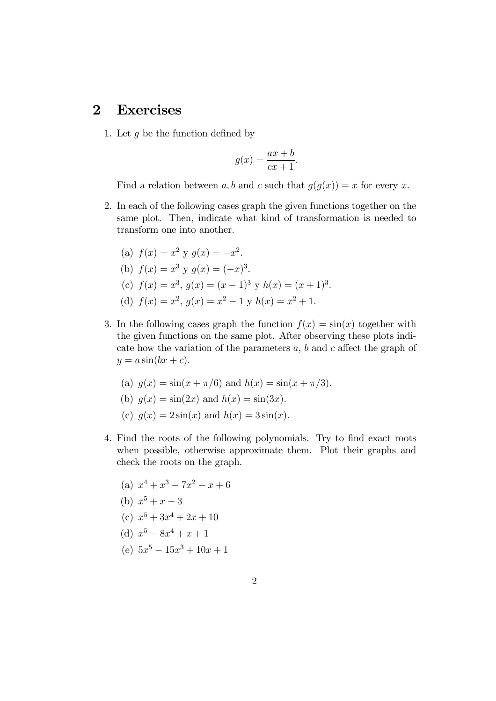## 2 Exercises

1. Let  $g$  be the function defined by

$$
g(x) = \frac{ax+b}{cx+1}.
$$

Find a relation between a, b and c such that  $g(g(x)) = x$  for every x.

2. In each of the following cases graph the given functions together on the same plot. Then, indicate what kind of transformation is needed to transform one into another.

(a) 
$$
f(x) = x^2
$$
 y  $g(x) = -x^2$ .  
\n(b)  $f(x) = x^3$  y  $g(x) = (-x)^3$ .  
\n(c)  $f(x) = x^3$ ,  $g(x) = (x - 1)^3$  y  $h(x) = (x + 1)^3$ .  
\n(d)  $f(x) = x^2$ ,  $g(x) = x^2 - 1$  y  $h(x) = x^2 + 1$ .

- 3. In the following cases graph the function  $f(x) = \sin(x)$  together with the given functions on the same plot. After observing these plots indicate how the variation of the parameters  $a, b$  and  $c$  affect the graph of  $y = a \sin(bx + c)$ .
	- (a)  $g(x) = \sin(x + \pi/6)$  and  $h(x) = \sin(x + \pi/3)$ .
	- (b)  $g(x) = \sin(2x)$  and  $h(x) = \sin(3x)$ .
	- (c)  $q(x) = 2\sin(x)$  and  $h(x) = 3\sin(x)$ .
- 4. Find the roots of the following polynomials. Try to find exact roots when possible, otherwise approximate them. Plot their graphs and check the roots on the graph.
	- (a)  $x^4 + x^3 7x^2 x + 6$
	- (b)  $x^5 + x 3$
	- (c)  $x^5 + 3x^4 + 2x + 10$
	- (d)  $x^5 8x^4 + x + 1$
	- (e)  $5x^5 15x^3 + 10x + 1$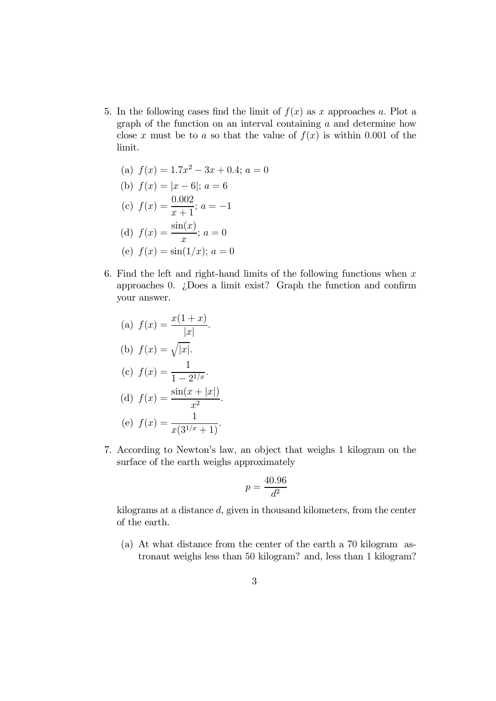5. In the following cases find the limit of  $f(x)$  as x approaches a. Plot a graph of the function on an interval containing a and determine how close x must be to a so that the value of  $f(x)$  is within 0.001 of the limit.

(a) 
$$
f(x) = 1.7x^2 - 3x + 0.4; a = 0
$$
  
\n(b)  $f(x) = |x - 6|; a = 6$   
\n(c)  $f(x) = \frac{0.002}{x + 1}; a = -1$   
\n(d)  $f(x) = \frac{\sin(x)}{x}; a = 0$   
\n(e)  $f(x) = \sin(1/x); a = 0$ 

6. Find the left and right-hand limits of the following functions when  $x$ approaches 0. ¿Does a limit exist? Graph the function and confirm your answer.

(a) 
$$
f(x) = \frac{x(1+x)}{|x|}
$$
.  
\n(b)  $f(x) = \sqrt{|x|}$ .  
\n(c)  $f(x) = \frac{1}{1-2^{1/x}}$ .  
\n(d)  $f(x) = \frac{\sin(x+|x|)}{x^2}$ .  
\n(e)  $f(x) = \frac{1}{x(3^{1/x}+1)}$ .

7. According to Newton's law, an object that weighs 1 kilogram on the surface of the earth weighs approximately

$$
p = \frac{40.96}{d^2}
$$

kilograms at a distance d, given in thousand kilometers, from the center of the earth.

(a) At what distance from the center of the earth a 70 kilogram astronaut weighs less than 50 kilogram? and, less than 1 kilogram?